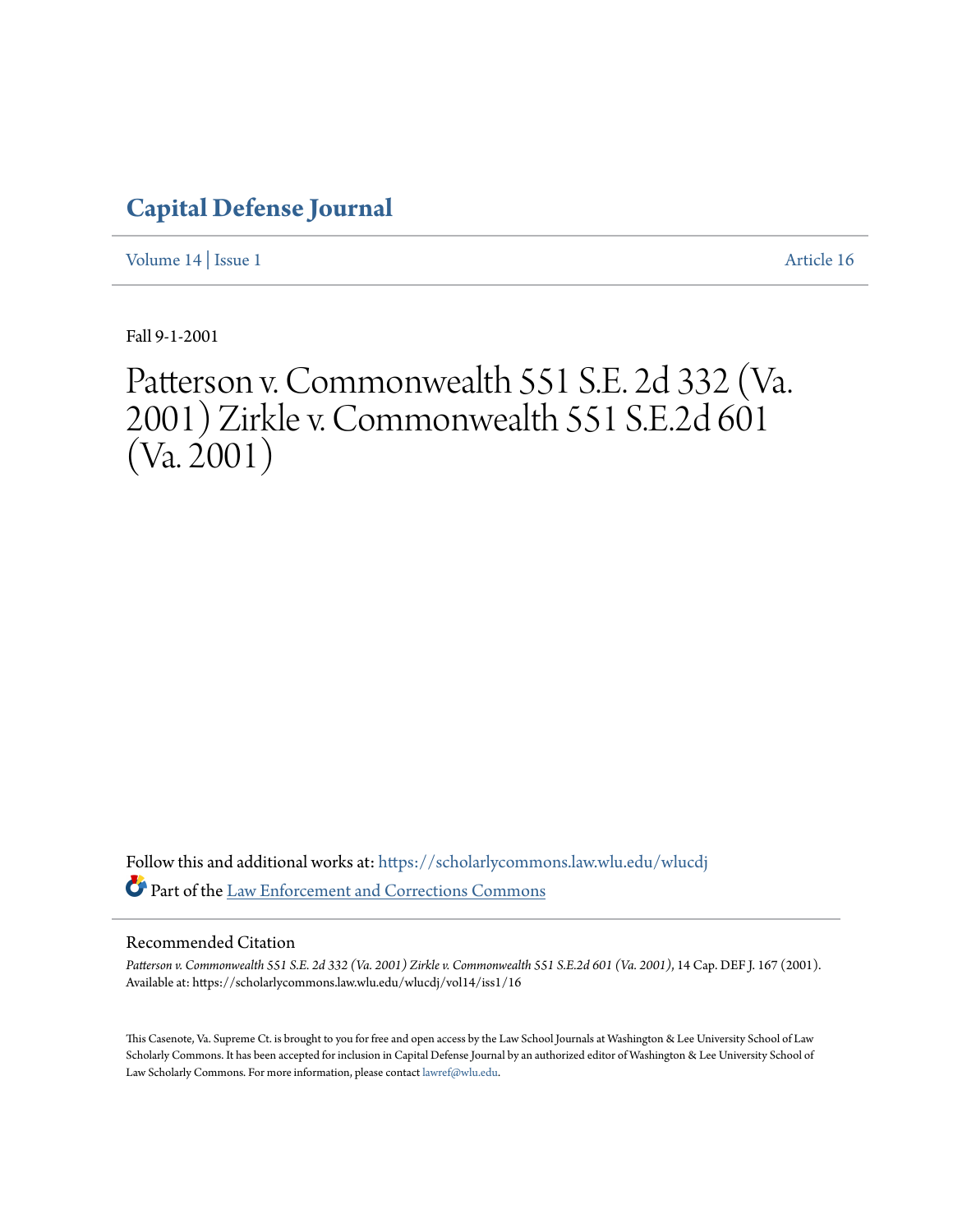## **[Capital Defense Journal](https://scholarlycommons.law.wlu.edu/wlucdj?utm_source=scholarlycommons.law.wlu.edu%2Fwlucdj%2Fvol14%2Fiss1%2F16&utm_medium=PDF&utm_campaign=PDFCoverPages)**

[Volume 14](https://scholarlycommons.law.wlu.edu/wlucdj/vol14?utm_source=scholarlycommons.law.wlu.edu%2Fwlucdj%2Fvol14%2Fiss1%2F16&utm_medium=PDF&utm_campaign=PDFCoverPages) | [Issue 1](https://scholarlycommons.law.wlu.edu/wlucdj/vol14/iss1?utm_source=scholarlycommons.law.wlu.edu%2Fwlucdj%2Fvol14%2Fiss1%2F16&utm_medium=PDF&utm_campaign=PDFCoverPages) [Article 16](https://scholarlycommons.law.wlu.edu/wlucdj/vol14/iss1/16?utm_source=scholarlycommons.law.wlu.edu%2Fwlucdj%2Fvol14%2Fiss1%2F16&utm_medium=PDF&utm_campaign=PDFCoverPages)

Fall 9-1-2001

# Patterson v. Commonwealth 551 S.E. 2d 332 (Va. 2001) Zirkle v. Commonwealth 551 S.E.2d 601  $(V_a. 2001)$

Follow this and additional works at: [https://scholarlycommons.law.wlu.edu/wlucdj](https://scholarlycommons.law.wlu.edu/wlucdj?utm_source=scholarlycommons.law.wlu.edu%2Fwlucdj%2Fvol14%2Fiss1%2F16&utm_medium=PDF&utm_campaign=PDFCoverPages) Part of the [Law Enforcement and Corrections Commons](http://network.bepress.com/hgg/discipline/854?utm_source=scholarlycommons.law.wlu.edu%2Fwlucdj%2Fvol14%2Fiss1%2F16&utm_medium=PDF&utm_campaign=PDFCoverPages)

#### Recommended Citation

*Patterson v. Commonwealth 551 S.E. 2d 332 (Va. 2001) Zirkle v. Commonwealth 551 S.E.2d 601 (Va. 2001)*, 14 Cap. DEF J. 167 (2001). Available at: https://scholarlycommons.law.wlu.edu/wlucdj/vol14/iss1/16

This Casenote, Va. Supreme Ct. is brought to you for free and open access by the Law School Journals at Washington & Lee University School of Law Scholarly Commons. It has been accepted for inclusion in Capital Defense Journal by an authorized editor of Washington & Lee University School of Law Scholarly Commons. For more information, please contact [lawref@wlu.edu.](mailto:lawref@wlu.edu)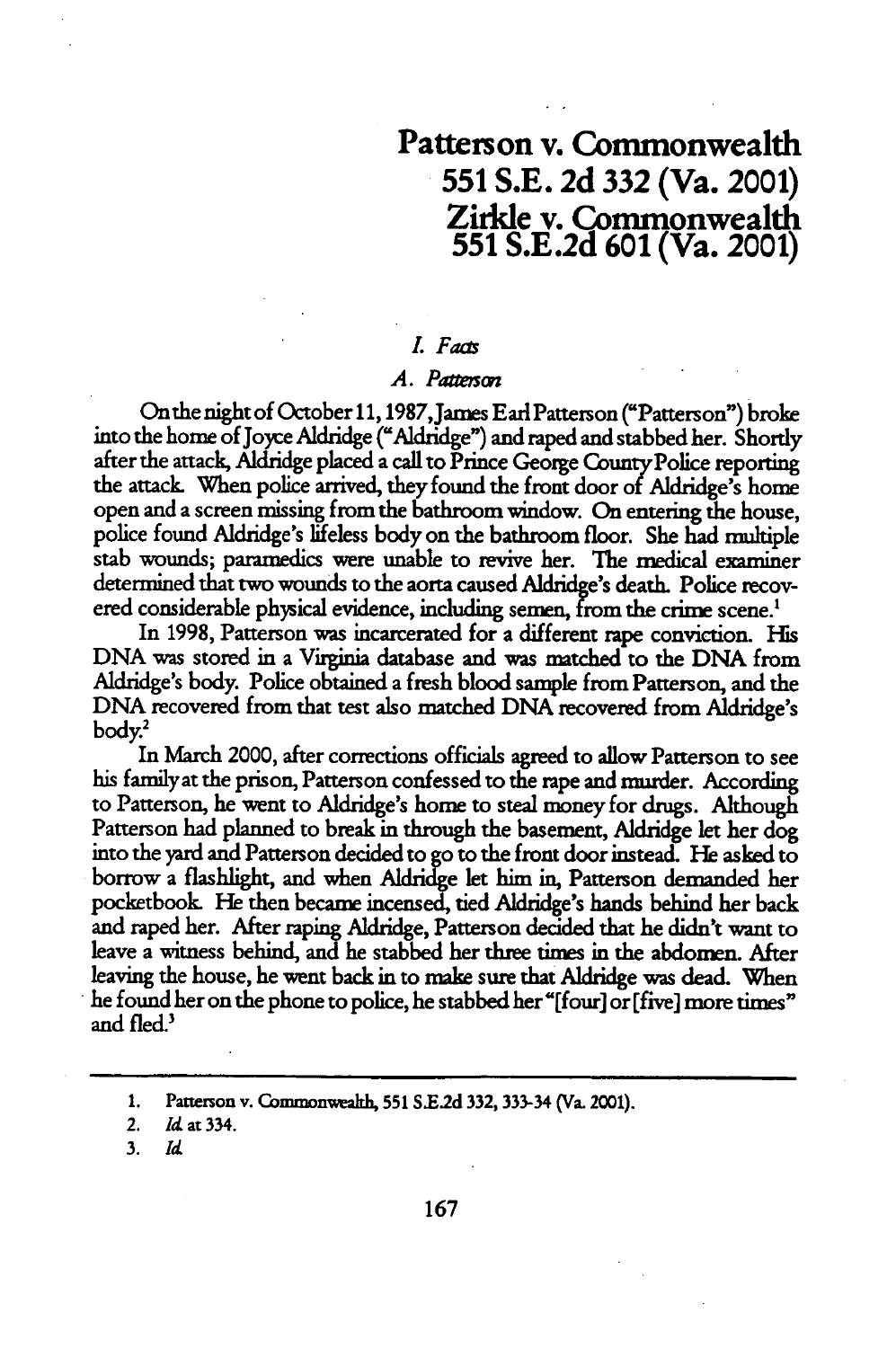### Patterson v. Commonwealth **551 S.E. 2d 332** (Va. 2001) **Zirkle** v. Commonwealth **551 S.E.2d 601** (Va. 2001)

#### *L Faas*

#### *A. Paremon*

On the night of October **11,** 1987,James Earl Patterson ("Patterson") broke into the home of Joyce Aldridge ("Aldridge") and raped and stabbed her. Shortly after the attack, Aldridge placed a call to Prince George County Police reporting the attack When police arrived, they found the front door of Aidridge's home open and a screen missing from the bathroom window. On entering the house, police found Aldridge's lifeless body on the bathroom floor. She had multiple stab wounds; paramedics were unable to revive her. The medical examiner determined that two wounds to the aorta caused Aldridge's death. Police recovered considerable physical evidence, including semen, from the crime scene.<sup>1</sup>

In 1998, Patterson was incarcerated for a different rape conviction. His DNA was stored in a Virginia database and was matched to the DNA from Aldridge's body. Police obtained a fresh blood sample from Patterson, and the DNA recovered from that test also matched DNA recovered from Aldridge's body.2

In March 2000, after corrections officials agreed to allow Patterson to see his familyat the prison, Patterson confessed to the rape and murder. According to Patterson, he went to Aldridge's home to steal money for drugs. Although Patterson had planned to break in through the basement, Aldridge let her dog into the yard and Patterson decided to go to the front door instead. **He** asked to borrow a flashlight, and when Aldridge let him in, Patterson demanded her pocketbook He then became incensed, tied Aldridge's hands behind her back and raped her. After raping Aldridge, Patterson decided that he didn't want to leave a witness behind, and he stabbed her three times in the abdomen. After leaving the house, he went back in to make sure that Aldridge was dead. When he found her on the phone to police, he stabbed her "[four] or [five] more times" and fled.'

3. *Id*

**<sup>1.</sup>** Patteron v. **Commonwveah, 551 S.E2d 332, 333-34** (Va. 2001).

<sup>2.</sup> *Id* at 334.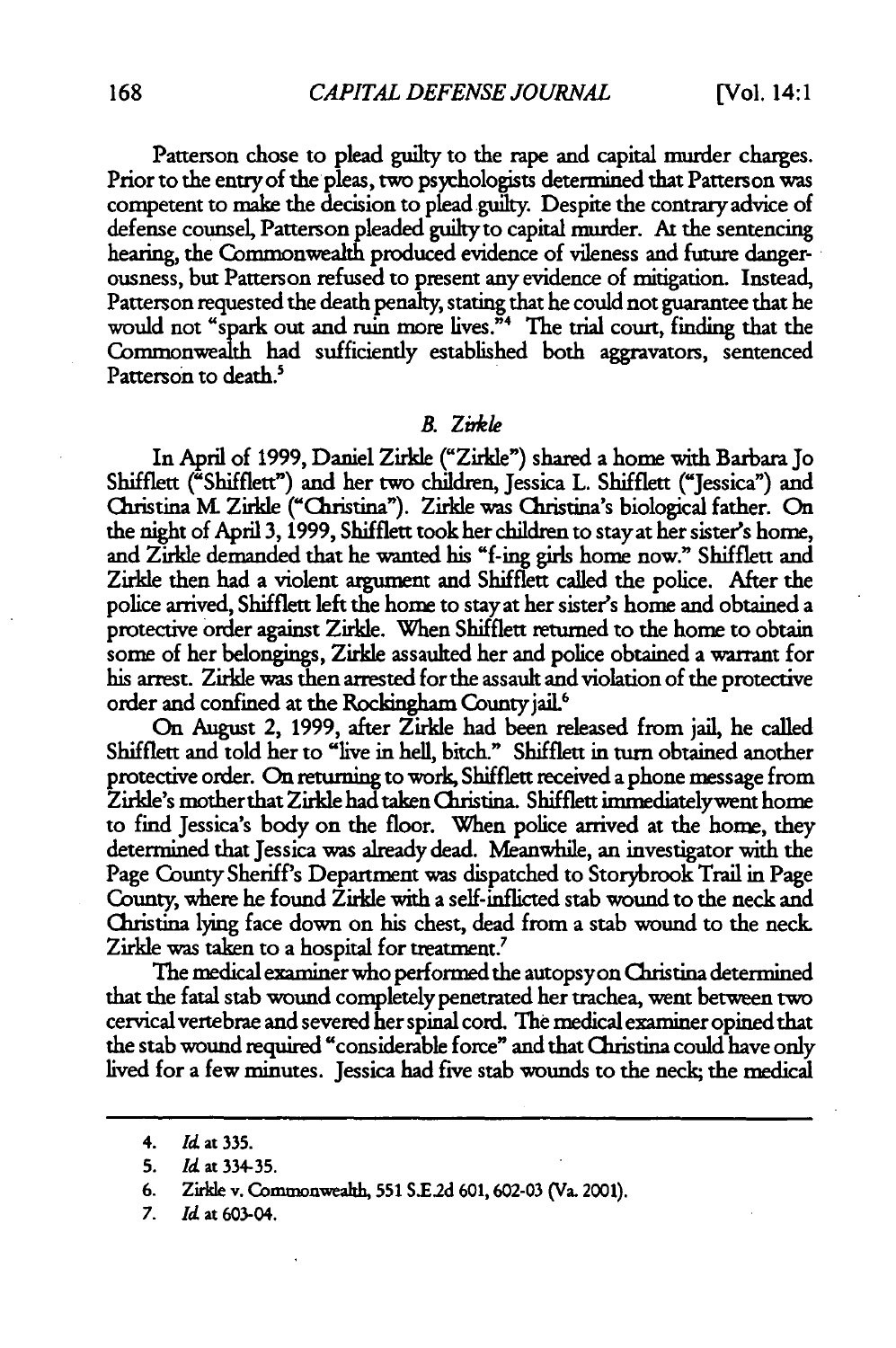Patterson chose to plead guilty to the rape and capital murder charges. Prior to the entry of the pleas, two psychologists determined that Patterson was competent to make the decision to plead guilty. Despite the contrary advice of defense counsel, Patterson pleaded guiltyto capital murder. At the sentencing hearing, the Commonwealth produced evidence of vileness and future dangerousness, but Patterson refused to present any evidence of mitigation. Instead, Patterson requested the death penalty, stating that he could not guarantee that he would not "spark **out** and ruin more lives."4 The trial court, finding that the Commonwealth had sufficiently established both aggravators, sentenced Patterson to death.<sup>5</sup>

#### *B. Zi~kl*

In April of **1999,** Daniel Zirkle ("Zirkle") shared a home with Barbara Jo Shifflett ("Shifflett") and her two children, Jessica L. Shifflett ("Jessica") and Christina **MK** Zirkle ("Christina"). Zirkle was Christina's biological father. On the night of April 3, 1999, Shifflett took her children to stay at her sister's home, and Zirkle demanded that he wanted his "f-ing girls home now." Shifflett and Zirkle then had a violent argument and Shifflett called the police. After the police arrived, Shifflett left the home to stay at her sister's home and obtained a protective order against Zirkle. When Shifflett returned to the home to obtain some of her belongings, Zirkle assaulted her and police obtained a warrant for his arrest. Zirkle was then arrested for the assault and violation of the protective order and confined at the Rockingham County jail.<sup>6</sup>

On August 2, 1999, after Zirkle had been released from jail, he called Shifflett and told her to "live in hell, bitch." Shifflett in turn obtained another protective order. On returning to work, Shifflett received a phone message from Zirkle's motherthat Zirkle had taken Christina. Shifflett immediatelywent home to find Jessica's body on the floor. When police arrived at the home, they determined that Jessica was already dead. Meanwhile, an investigator with the Page County Sheriff's Department was dispatched to Storybrook Trail in Page County, where he found Zirkle with a self-inflicted stab wound to the neck and Christina lying face down on his chest, dead from a stab wound to the neck Zirkle was taken to a hospital for treatment.<sup>7</sup>

The medical examiner who performed the autopsyon Christina determined that the fatal stab wound completely penetrated her trachea, went between two cervical vertebrae and severed her spinal cord. The medical examiner opined that the stab wound required "considerable force" and that Christina could have only lived for a few minutes. Jessica had five stab wounds to the neck; the medical

<sup>4.</sup> *ld* **at 335.**

**<sup>5.</sup> Id at 334-35.**

**<sup>6.</sup> Zirkle** v. **Commonweath, 551 S.E2d 601,602-03** (Va. 2001).

*<sup>7.</sup>* Id **at** 603-04.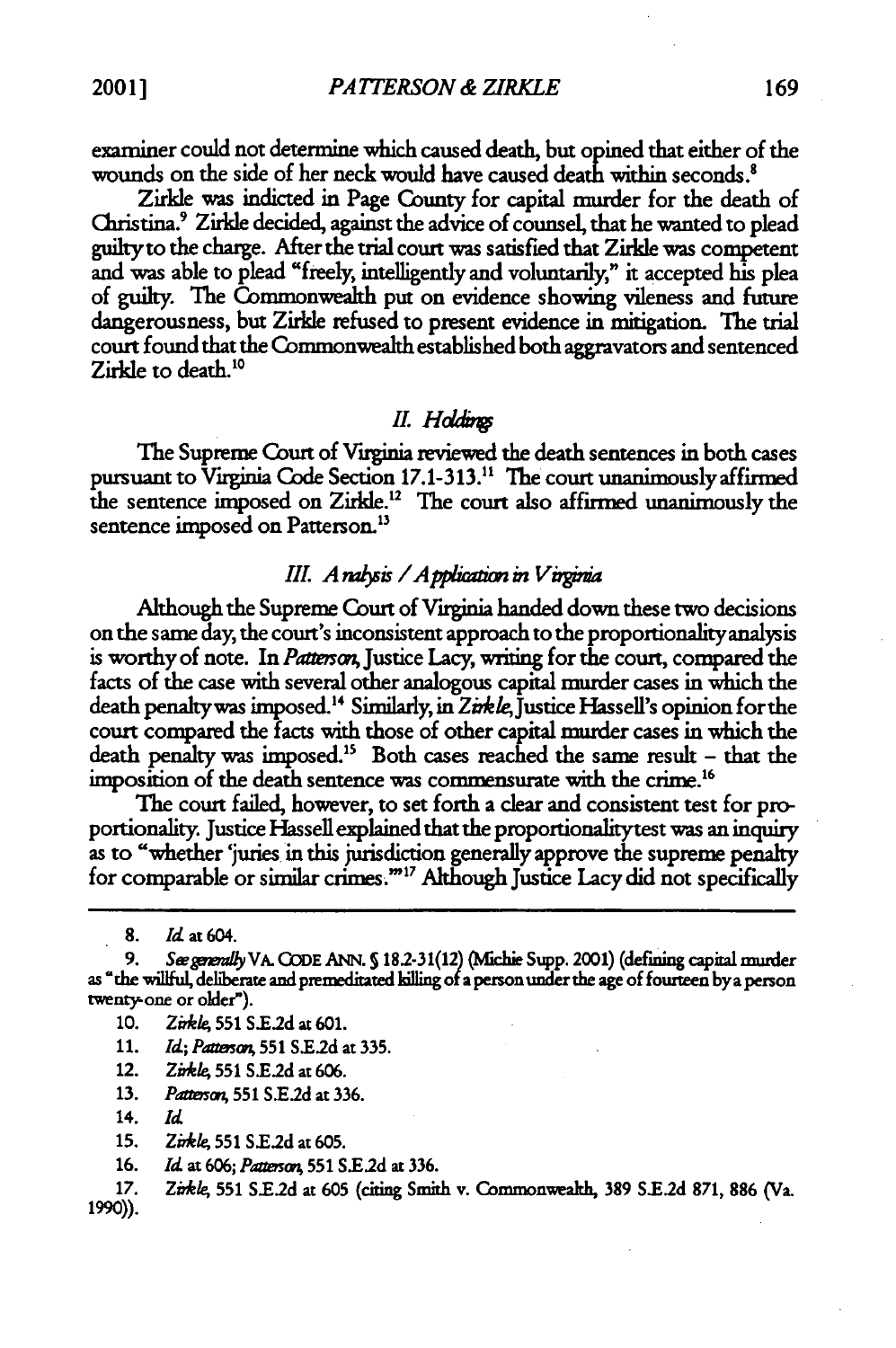examiner could not determine which caused death, but opined that either of the wounds on the side of her neck would have caused death within seconds.<sup>8</sup>

Zirkle was indicted in Page County for capital murder for the death of Christina.<sup>9</sup> Zirkle decided, against the advice of counsel, that he wanted to plead<br>guilty to the charge. After the trial court was satisfied that Zirkle was competent<br>and was able to plead "freely, intelligently and volu of guilty. The Commonwealth put on evidence showing vileness and future dangerousness, but Zirkle refused to present evidence in mitigation. The trial court found that the Commonwealth established both aggravators and sentenced Zirkle to death.<sup>10</sup>

#### *II.* Holdings

The Supreme Court of Virginia reviewed the death sentences in both cases pursuant to Virginia Code Section **17.1-313."** The court unanimously affirmed the sentence imposed on Zirkle.<sup>12</sup> The court also affirmed unanimously the sentence imposed on Patterson.<sup>13</sup>

#### *III. Analysis / Application in Virginia*

Although the Supreme Court of Virginia handed down these two decisions on the same day, the court's inconsistent approach to the proportionality analysis is worthy of note. In *Patescn,* Justice Lacy, writing for the court, compared the facts of the case with several other analogous capital murder cases in which the death penalty was imposed.<sup>14</sup> Similarly, in Zirkle, Justice Hassell's opinion for the court compared the facts with those of other capital murder cases in which the death penalty was imposed.<sup>15</sup> Both cases reached the same result - that the imposition of the death sentence was commensurate with the crime."

The court failed, however, to set forth a clear and consistent test for pro- portionality. Justice Hassell explained that the proportionalitytest was an inquiry as to "whether 'juries in this jurisdiction generally approve the supreme penalty for comparable or similar crimes."<sup>17</sup> Although Justice Lacy did not specifically

- 10. *Zirkle*, 551 S.E.2d at 601.
- 11. *Id; Pattmo,* **551** S.E2d at 335.
- 12. *Zirkle*, 551 S.E.2d at 606.
- **13.** *Patunsc,* **551 SE.2d** at 336.
- 14. *Id*
- **15.** *Zdele,* **551 SE.2d** at 605.
- 16. *Id* at 606; *Pawpsa,* **551** *S.E2d* at 336.
- **17.** *Zirk/e* **551 S.E2d** at **605** (citing Smith v. Commonwealth, **389 S.E.2d 871, 886** (Va. 1990)).

<sup>8.</sup> *Id* at 604.

**<sup>9.</sup>** *S mmUy* VA. **CODE** ANN. **S 182-31(12) (Nfchie** Supp. 2001) (defining capital murder as 'the willfuI, deliberate and **premeditated killing** of a person under the age of fourteen bya person twenty-one or older").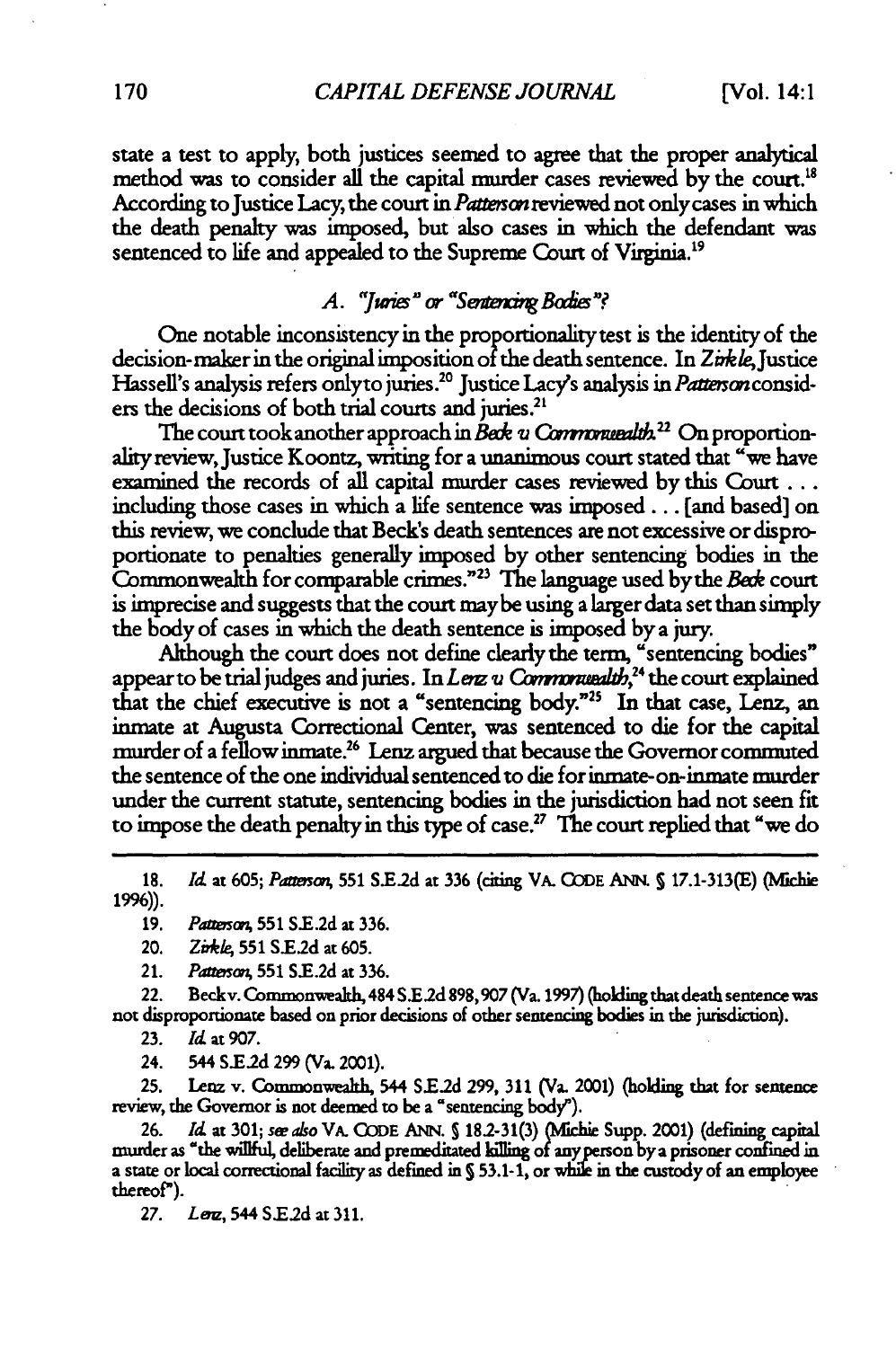state a test to apply, both justices seemed to agree that **the** proper analytical method was to consider all the capital murder cases reviewed by the court.<sup>18</sup> According to Justice Lacy, the court in *Patterson* reviewed not only cases in which the death penalty was imposed, but also cases in which the defendant was sentenced to life and appealed to the Supreme Court of Virginia.<sup>19</sup>

#### *A.* "Junes" or "Sentencing Bodies"?

One notable inconsistency in the proportionality test is the identity of the decision-maker in the original imposition of the death sentence. In Zirkle, Justice Hassell's analysis refers onlyto juries.<sup>20</sup> Justice Lacy's analysis in Patterson considers the decisions of both trial courts and juries.<sup>21</sup>

The court took another approach in *Bede u Commonuealth.<sup>22</sup>* On proportionality review, Justice Koontz, writing for a unanimous court stated that "we have examined the records of all capital murder cases reviewed **by** this Court... including those cases in which a life sentence was **imposed...** [and based] on this review, we conclude that Beck's death sentences are not excessive or disproportionate to penalties generally imposed by other sentencing bodies in the Commonwealth for comparable crimes. <sup>23</sup>**The** language used bythe *Bede* court is imprecise and suggests that the court maybe using a larger data set than simply the body of cases in which the death sentence is imposed **by** a jury.

Although the court does not define clearly **the** term, "sentencing bodies" appear to be trial judges and juries. In *Lerz v Commonwealth*,<sup>24</sup> the court explained that the chief executive is not a "sentencing body."<sup>25</sup> In that case, Lenz, an inmate at Augusta Correctional Center, was sentenced to die for the capital murder of a fellow inmate.<sup>26</sup> Lenz argued that because the Governor commuted **the** sentence of the one individual sentenced to **die** for inmate- on-inmate murder under the current statute, sentencing bodies in the jurisdiction **had** not seen fit to impose the death penalty in this type of case.<sup>27</sup> The court replied that "we do

**18.** *Id* at **605;** *Pamai,* **551 S.E2d** at **336** (citing VA. CODE ANN. S 17.1-313(E) (Michie **19%)).**

**19.** *Pa vsa,* **551 S.E.2d** at **336.**

- 20. *Zirkle,* **551 S.E2d** at **605.**
- 21. *Patt&mo* **551** S.E.2d at 336.

22. Becky. Commonwealth, 484 **S.E2d 898,907** (Va. **1997)** (holding that death semence was not disproportionate based on prior decisions of other sentencing bodies in the jurisdiction).

**23.** *Id* at **907.**

24. 544 **S.Ed** 299 (Va. 2001).

**25.** Lenz v. Commonwealth, 544 **SEld** 299, **311** (Va. 2001) (holding that for **senence** review, the Governor is not deemed to be a "sentencing body").

**26.** *Id* at **301;** *se also* VA. CODE ANN. **S 182-31(3)** ( fichie Supp. 2001) (defining capital murder as "the wiflful, deliberate and premeditated kiling of anyperson by a prisoner confined in a state or local correctional facility as defined in **S** 53.1-1, or while in the custody of an employee thereof").

**27.** *Le,* 544 **S.E2d** at 311.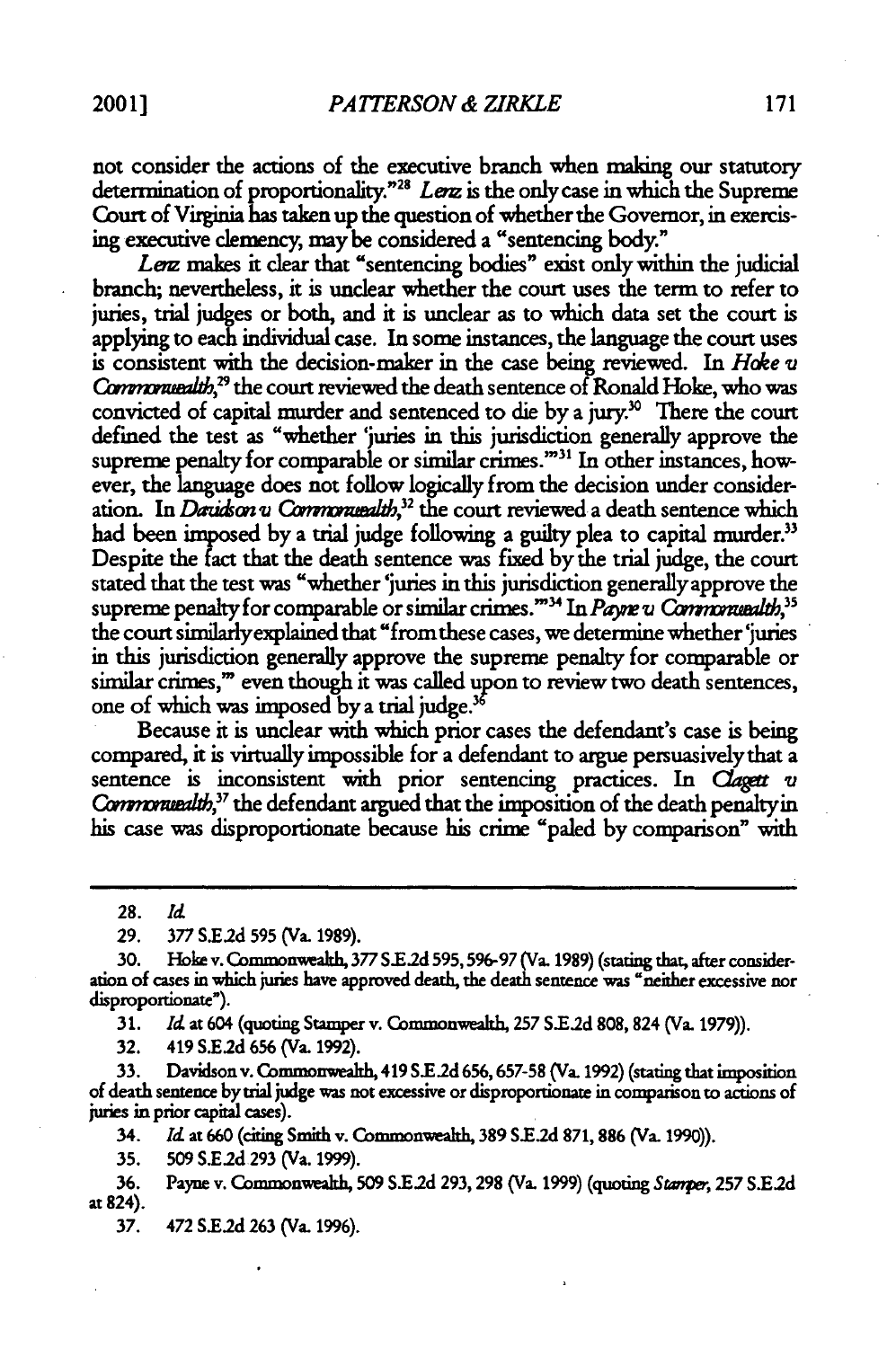not consider the actions of the executive branch when making our statutory determination of proportionality."<sup>28</sup> Lenz is the only case in which the Supreme Court of Virginia has taken up the question of whether the Governor, in exercising executive clemency, may be considered a "sentencing body."

Lerz makes it clear that "sentencing bodies" exist only within the judicial branch, nevertheless, it is unclear whether the court uses the term to refer to juries, trial judges or both, and it is unclear as to which data set the court is applying to each individual case. In some instances, the language the court uses is consistent with the decision-maker in the case being reviewed. In *Hake* v *Commonuealth*,<sup>29</sup> the court reviewed the death sentence of Ronald Hoke, who was convicted of capital murder and sentenced to die by a jury.<sup>30</sup> There the court defined the test as "whether 'juries in this jurisdiction generally approve the supreme penalty for comparable or similar crimes."<sup>31</sup> In other instances, however, the language does not follow logically from the decision under consideration. In *Davidson v Commonwealth*,<sup>32</sup> the court reviewed a death sentence which had been imposed by a trial judge following a guilty plea to capital murder.<sup>33</sup> Despite the fact that the death sentence was fixed by the trial judge, the court stated that the test was "whether 'juries in this jurisdiction generally approve the supreme penalty for comparable or similar crimes."<sup>34</sup> In *Payre u Communealth*,<sup>35</sup> the court similarlyexplained that "from these cases, we determine whether 'juries in this jurisdiction generally approve the supreme penalty for comparable or similar crimes," even though it was called upon to review two death sentences, one of which was imposed by a trial judge.<sup>36</sup>

Because it is unclear with which prior cases the defendant's case is being compared, it is virtually impossible for a defendant to argue persuasively that a sentence is inconsistent with prior sentencing practices. In *Claget v* Commonuealth,<sup>37</sup> the defendant argued that the imposition of the death penalty in his case was disproportionate because **his** crime "paled **by** comparison" with

**28.** *Id*

**29.** *377* **S.E2d 595** (Va. **1989).**

**30.** Hoke v. Commonwealth, **377 S.E.2d 595, 596-97** (Va. **1989)** (stating that, after consider**ation** of cases in which juries have approved death, the death sentence was "neither excessive nor disproportionate").

**31.** *Id* at 604 (quoting Stamper v. Commonwealth, **257 S.E.2d** 808,824 (Va. **1979)).**

**32.** 419 **S.E.2d** 656 (Va. **1992).**

**33.** Davidson v. Commonwealth, 419 **S.E.2d 656,657-58** (Va. 1992) (stating that imposition of death sentence by trial judge was not excessive or disproportionate in comparison to actions of juries in prior capital cases).

34. *Id* at **660** (citing Smith v. Commonwealth, **389 S.E.2d 871, 886** (Va. **1990)).**

**35. 509 S.E2d.293** (Va. 1999).

**36.** Payne v. Commonwealth, **509 SE.2d** 293,298 (Va. 1999) (quoting *Stanpff,* **257 S.E.2d** at 824).

**37.** *472* S.E2d **263** (Va. 1996).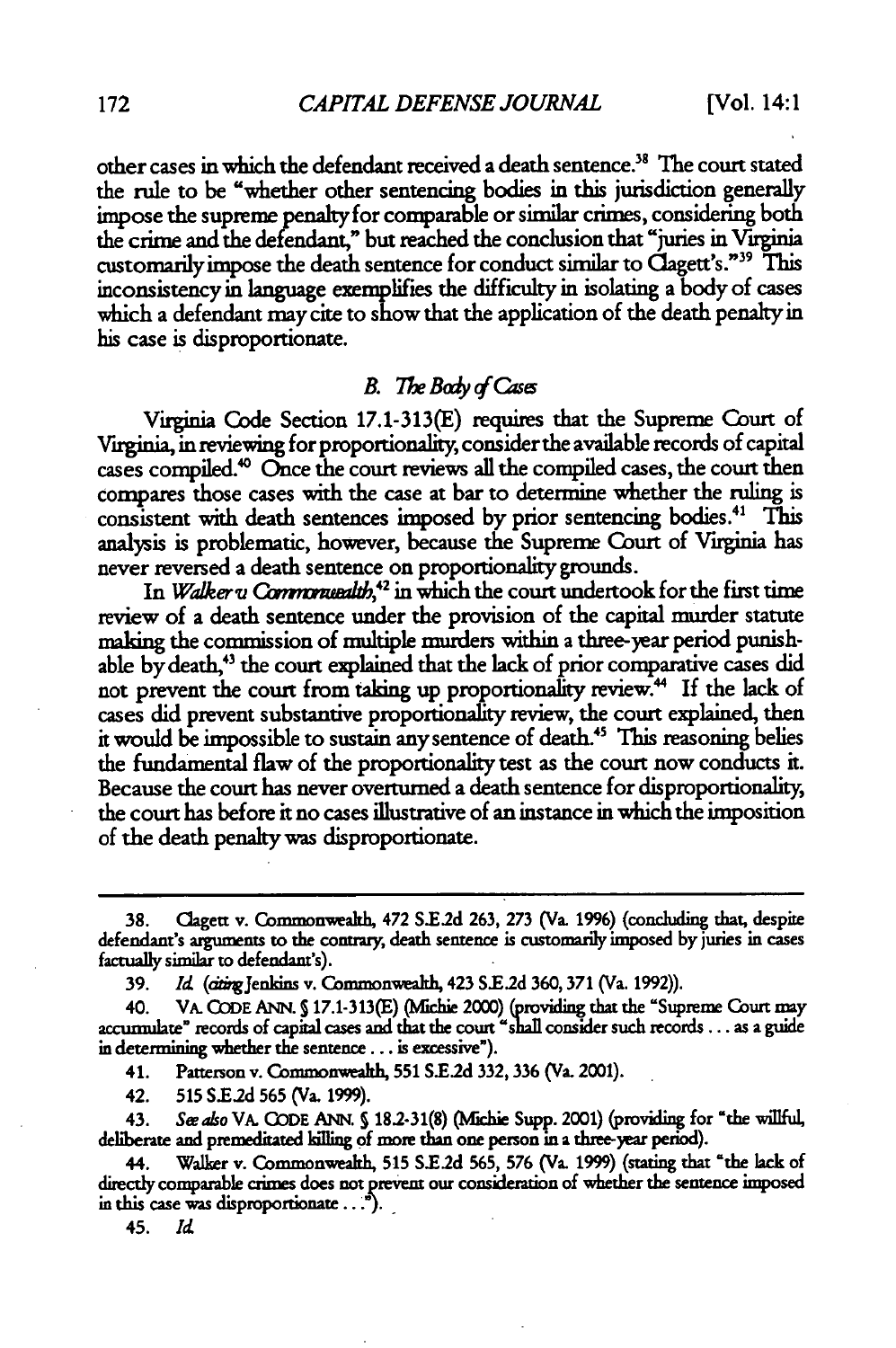other cases in which the defendant received a death sentence.<sup>38</sup> The court stated the rule to be "whether other sentencing bodies in this jurisdiction generally impose the supreme penalty for comparable or similar crimes, considering both the crime and the defendant," but reached the conclusion that "juries in Virginia customarily impose the death sentence for conduct similar to Clagett's."<sup>39</sup> This inconsistency in language exemplifies the difficulty in isolating a body of cases which a defendant may cite to show that the application of the death penalty in his case is disproportionate.

#### *B. The Body of Cases*

Virginia Code Section 17.1-313(E) **requires** that the Supreme Court of Viginia, in reviewing for proportionality, consider the available records of capital cases compiled." Once the court reviews all the compiled cases, the court then compares those cases with the case at bar to determine whether the ruling is consistent with death sentences imposed by prior sentencing bodies.<sup>41</sup> This analysis is problematic, however, because the Supreme Court of Virginia has never reversed a death sentence on proportionality grounds.

In *Walker u Commonuealth*,<sup>42</sup> in which the court undertook for the first time review of a death sentence under the provision of the capital murder statute aking the commission of multiple murders within a three-year period punishable by death,<sup>43</sup> the court explained that the lack of prior comparative cases did not prevent the court from taking up proportionality review." If the lack of cases did prevent substantive proportionality review, the court explained, then it would be impossible to sustain any sentence of death.<sup>45</sup> This reasoning belies the fundamental flaw of the proportionality test as the court now conducts it. Because the court has never overturned a death sentence for disproportionality, the court has before it no cases illustrative of an instance in which the imposition of the death penalty was disproportionate.

41. Patterson v. Commonwealth, **551** S.E.2d **332, 336** (Va. 2001).

42. **515** S.E.2d **565** (Va. 1999).

43. **See** aso VA. **CODE** ANN. S **182-31(8)** (Mfchie Supp. 2001) (providing for "the willful, deliberate and premeditated kiling of more than one person in a three-year period).

**44.** Walkr v. Commonwealh, **515 S.E.2d 565, 576** (Va. **1999)** (stating that "the lack of directly comparable crimes does not prevent our consideration of whether the sentence imposed in this case was disproportionate  $\ldots$ .

**45.** *Id*

<sup>38.</sup> Clagett v. Commonwea 472 S.E.2d 263, **273** (Va. **1996)** (concluding that, despite defendant's arguments to the contrary, death sentence is customarily imposed by juries in cases factually similar to defendant's).

<sup>39.</sup> *Id. (ating Jenkins v. Commonwealth, 423 S.E.2d 360, 371 (Va. 1992)).* 

<sup>40.</sup> **VA. CODE ANN. 5 17.1-313(E)** (hichie 2000) (providing that the "Supreme **Court** may accurmulate" records of capital cases and that the court "shall consider such records . . . as a guide in determining whether the sentence... is excessive").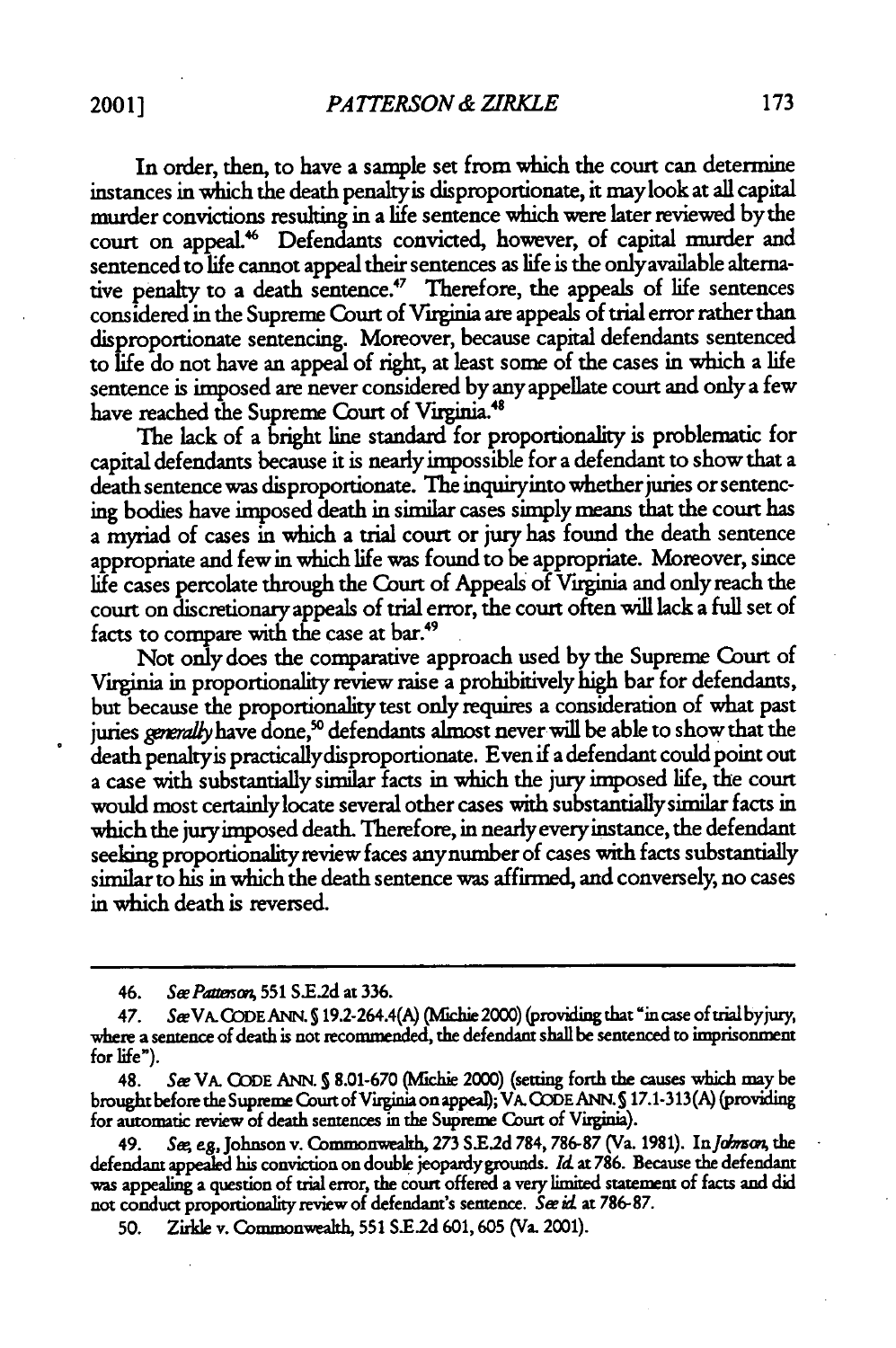In order, then, to have a sample set from which the court can determine instances in which the death penaltyis disproportionate, it maylook at all capital murder convictions resulting in a life sentence which were later reviewed bythe court on appeal" Defendants convicted, however, of capital murder and sentenced to life cannot appeal their sentences as life is the onlyavailable alternative penalty to a death sentence.<sup> $47$ </sup> Therefore, the appeals of life sentences considered in the Supreme Court of Virginia are appeals of trial error rather than disproportionate sentencing. Moreover, because capital defendants sentenced to life do not have an appeal of right, at least some of the cases in which a life sentence is imposed are never considered **by** anyappellate court and only a few have reached the Supreme Court of **Virginia.<sup>48</sup>**

The lack of a bright line standard for proportionality is problematic for capital defendants because it is nearly impossible for a defendant to show that a death sentence was disproportionate. The inquiryinto whether juries or sentencing bodies have imposed death in similar cases simply means that the court has a myriad of cases in which a trial court or jury has found the death sentence appropriate and few in which life was found to be appropriate. Moreover, since life cases percolate through the Court of Appeals of Virginia and only reach the court on discretionary appeals of trial error, the court often will lack a full set of facts to compare with the case at bar.49

Not only does the comparative approach used by the Supreme Court of Virginia in proportionality review raise a prohibitively high bar for defendants, but because the proportionality test only requirs a consideration of what past juries *generally* have done,<sup>50</sup> defendants almost never will be able to show that the death penaltyis practicallydisproportionate. Even if a defendant could point out a case with substantially similar facts in which the jury imposed life, the court would most certainlylocate several other cases with substantially similar facts in which the juryimposed death. Therefore, in nearly everyinstance, the defendant seeking proportionality review faces any number of cases with facts substantially similar to his in which the death sentence was affirmed, and conversely, no cases in which death is reversed.

49. *Sw,* eg, Johnson v. Commonweakh, **273 S.E.2d 784, 786.87** (Va. 1981). InJobmso, the defendant appealed his conviction on double jeopardygrounds. *IR* at **786.** Because the defendant was appealing a question of trial error, the court offered a very limited statement of facts and did not conduct proportionality review of defendant's sentence. *See id* at **786.87.**

**50.** Zirkle v. Commonwealt **551 SE.2d 601,605** (Va. 2001).

<sup>46.</sup> *SeePaztana,* 551 **S.E2d** at 336.

<sup>47.</sup> See VA. CODE ANN. § 19.2-264.4(A) (Michie 2000) (providing that "in case of trial byjury, where a sentence of death is not recommended, the defendant shall be sentenced to imprisonment for life").

<sup>48.</sup> *See* VA. **CODE ANN. § 8.01-670** (lichie 2000) (setting forth the causes which may be brought before the Supreme Court of Virginia on appeal; VA. CODE ANN. **S 17.1-313(A)** (providing for automatic review of death sentences in the Supreme Court of Virginia).